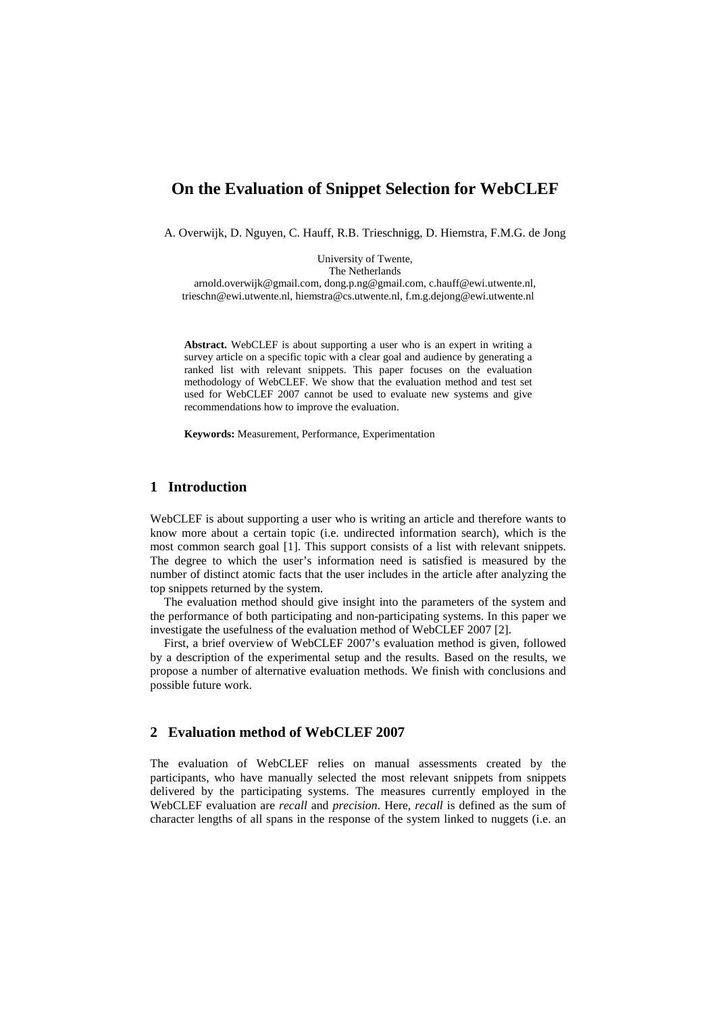# **On the Evaluation of Snippet Selection for WebCLEF**

A. Overwijk, D. Nguyen, C. Hauff, R.B. Trieschnigg, D. Hiemstra, F.M.G. de Jong

University of Twente, The Netherlands arnold.overwijk@gmail.com, dong.p.ng@gmail.com, c.hauff@ewi.utwente.nl, trieschn@ewi.utwente.nl, hiemstra@cs.utwente.nl, f.m.g.dejong@ewi.utwente.nl

**Abstract.** WebCLEF is about supporting a user who is an expert in writing a survey article on a specific topic with a clear goal and audience by generating a ranked list with relevant snippets. This paper focuses on the evaluation methodology of WebCLEF. We show that the evaluation method and test set used for WebCLEF 2007 cannot be used to evaluate new systems and give recommendations how to improve the evaluation.

**Keywords:** Measurement, Performance, Experimentation

## **1 Introduction**

WebCLEF is about supporting a user who is writing an article and therefore wants to know more about a certain topic (i.e. undirected information search), which is the most common search goal [1]. This support consists of a list with relevant snippets. The degree to which the user's information need is satisfied is measured by the number of distinct atomic facts that the user includes in the article after analyzing the top snippets returned by the system.

The evaluation method should give insight into the parameters of the system and the performance of both participating and non-participating systems. In this paper we investigate the usefulness of the evaluation method of WebCLEF 2007 [2].

First, a brief overview of WebCLEF 2007's evaluation method is given, followed by a description of the experimental setup and the results. Based on the results, we propose a number of alternative evaluation methods. We finish with conclusions and possible future work.

#### **2 Evaluation method of WebCLEF 2007**

The evaluation of WebCLEF relies on manual assessments created by the participants, who have manually selected the most relevant snippets from snippets delivered by the participating systems. The measures currently employed in the WebCLEF evaluation are *recall* and *precision*. Here, *recall* is defined as the sum of character lengths of all spans in the response of the system linked to nuggets (i.e. an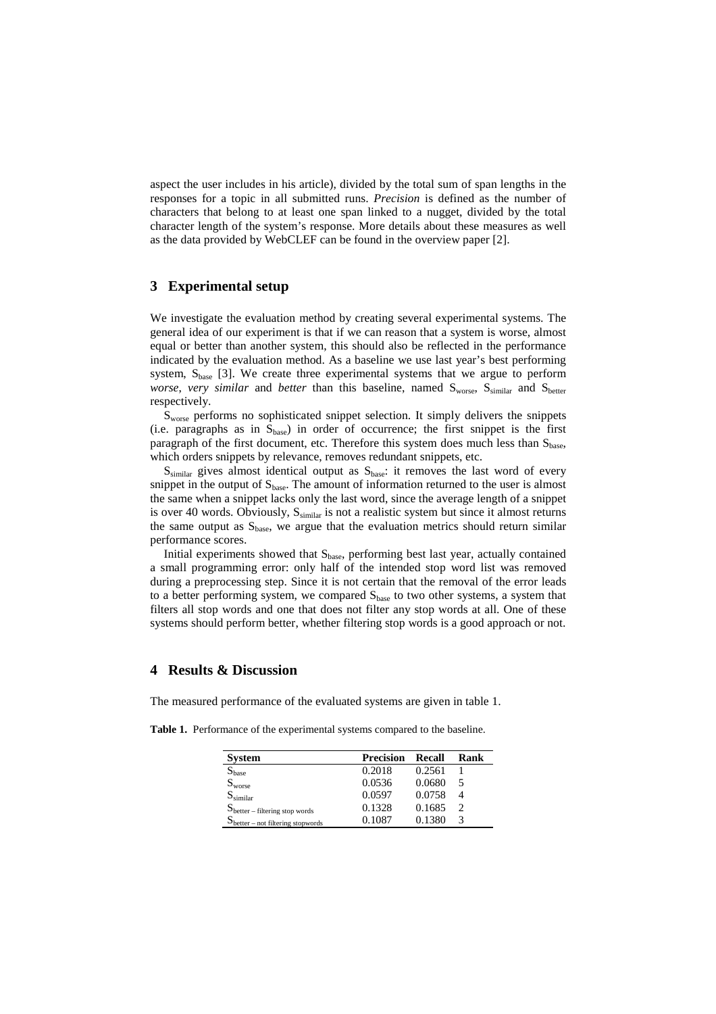aspect the user includes in his article), divided by the total sum of span lengths in the responses for a topic in all submitted runs. *Precision* is defined as the number of characters that belong to at least one span linked to a nugget, divided by the total character length of the system's response. More details about these measures as well as the data provided by WebCLEF can be found in the overview paper [2].

#### **3 Experimental setup**

We investigate the evaluation method by creating several experimental systems. The general idea of our experiment is that if we can reason that a system is worse, almost equal or better than another system, this should also be reflected in the performance indicated by the evaluation method. As a baseline we use last year's best performing system,  $S<sub>base</sub>$  [3]. We create three experimental systems that we argue to perform *worse*, *very similar* and *better* than this baseline, named S<sub>worse</sub>, S<sub>similar</sub> and S<sub>better</sub> respectively.

Sworse performs no sophisticated snippet selection. It simply delivers the snippets (i.e. paragraphs as in  $S_{base}$ ) in order of occurrence; the first snippet is the first paragraph of the first document, etc. Therefore this system does much less than  $S_{base}$ , which orders snippets by relevance, removes redundant snippets, etc.

 $S_{\text{similar}}$  gives almost identical output as  $S_{\text{base}}$ : it removes the last word of every snippet in the output of  $S_{base}$ . The amount of information returned to the user is almost the same when a snippet lacks only the last word, since the average length of a snippet is over 40 words. Obviously,  $S_{\text{similar}}$  is not a realistic system but since it almost returns the same output as  $S<sub>base</sub>$ , we argue that the evaluation metrics should return similar performance scores.

Initial experiments showed that Sbase, performing best last year, actually contained a small programming error: only half of the intended stop word list was removed during a preprocessing step. Since it is not certain that the removal of the error leads to a better performing system, we compared  $S_{base}$  to two other systems, a system that filters all stop words and one that does not filter any stop words at all. One of these systems should perform better, whether filtering stop words is a good approach or not.

### **4 Results & Discussion**

The measured performance of the evaluated systems are given in table 1.

**Table 1.** Performance of the experimental systems compared to the baseline.

| <b>System</b>                         | <b>Precision</b> | <b>Recall</b> | Rank |
|---------------------------------------|------------------|---------------|------|
| $\mathrm{S}_\mathrm{base}$            | 0.2018           | 0.2561        |      |
| $S_{\text{worse}}$                    | 0.0536           | 0.0680        |      |
| $S_{\text{similar}}$                  | 0.0597           | 0.0758        |      |
| $S_{better - filtering stop words}$   | 0.1328           | 0.1685        |      |
| $S_{better - not filtering supports}$ | 0.1087           | 0.1380        |      |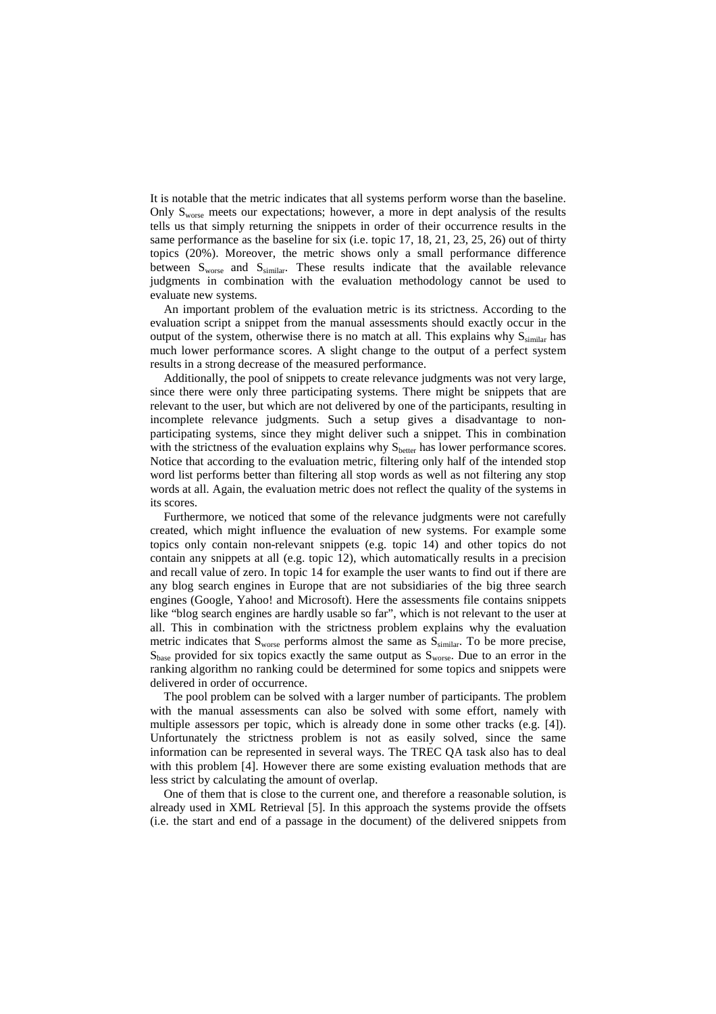It is notable that the metric indicates that all systems perform worse than the baseline. Only  $S_{\text{worse}}$  meets our expectations; however, a more in dept analysis of the results tells us that simply returning the snippets in order of their occurrence results in the same performance as the baseline for six (i.e. topic 17, 18, 21, 23, 25, 26) out of thirty topics (20%). Moreover, the metric shows only a small performance difference between  $S_{\text{worse}}$  and  $S_{\text{similar}}$ . These results indicate that the available relevance judgments in combination with the evaluation methodology cannot be used to evaluate new systems.

An important problem of the evaluation metric is its strictness. According to the evaluation script a snippet from the manual assessments should exactly occur in the output of the system, otherwise there is no match at all. This explains why  $S_{\text{similar}}$  has much lower performance scores. A slight change to the output of a perfect system results in a strong decrease of the measured performance.

Additionally, the pool of snippets to create relevance judgments was not very large, since there were only three participating systems. There might be snippets that are relevant to the user, but which are not delivered by one of the participants, resulting in incomplete relevance judgments. Such a setup gives a disadvantage to nonparticipating systems, since they might deliver such a snippet. This in combination with the strictness of the evaluation explains why  $S<sub>better</sub>$  has lower performance scores. Notice that according to the evaluation metric, filtering only half of the intended stop word list performs better than filtering all stop words as well as not filtering any stop words at all. Again, the evaluation metric does not reflect the quality of the systems in its scores.

Furthermore, we noticed that some of the relevance judgments were not carefully created, which might influence the evaluation of new systems. For example some topics only contain non-relevant snippets (e.g. topic 14) and other topics do not contain any snippets at all (e.g. topic 12), which automatically results in a precision and recall value of zero. In topic 14 for example the user wants to find out if there are any blog search engines in Europe that are not subsidiaries of the big three search engines (Google, Yahoo! and Microsoft). Here the assessments file contains snippets like "blog search engines are hardly usable so far", which is not relevant to the user at all. This in combination with the strictness problem explains why the evaluation metric indicates that  $S_{\text{worse}}$  performs almost the same as  $S_{\text{similar}}$ . To be more precise,  $S<sub>base</sub>$  provided for six topics exactly the same output as  $S<sub>worse</sub>$ . Due to an error in the ranking algorithm no ranking could be determined for some topics and snippets were delivered in order of occurrence.

The pool problem can be solved with a larger number of participants. The problem with the manual assessments can also be solved with some effort, namely with multiple assessors per topic, which is already done in some other tracks (e.g. [4]). Unfortunately the strictness problem is not as easily solved, since the same information can be represented in several ways. The TREC QA task also has to deal with this problem [4]. However there are some existing evaluation methods that are less strict by calculating the amount of overlap.

One of them that is close to the current one, and therefore a reasonable solution, is already used in XML Retrieval [5]. In this approach the systems provide the offsets (i.e. the start and end of a passage in the document) of the delivered snippets from